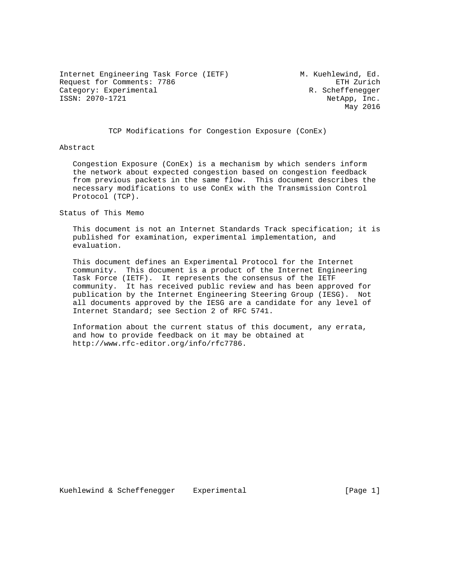Internet Engineering Task Force (IETF) M. Kuehlewind, Ed. Request for Comments: 7786 ETH Zurich Category: Experimental ISSN: 2070-1721 NetApp, Inc.

May 2016

TCP Modifications for Congestion Exposure (ConEx)

Abstract

 Congestion Exposure (ConEx) is a mechanism by which senders inform the network about expected congestion based on congestion feedback from previous packets in the same flow. This document describes the necessary modifications to use ConEx with the Transmission Control Protocol (TCP).

Status of This Memo

 This document is not an Internet Standards Track specification; it is published for examination, experimental implementation, and evaluation.

 This document defines an Experimental Protocol for the Internet community. This document is a product of the Internet Engineering Task Force (IETF). It represents the consensus of the IETF community. It has received public review and has been approved for publication by the Internet Engineering Steering Group (IESG). Not all documents approved by the IESG are a candidate for any level of Internet Standard; see Section 2 of RFC 5741.

 Information about the current status of this document, any errata, and how to provide feedback on it may be obtained at http://www.rfc-editor.org/info/rfc7786.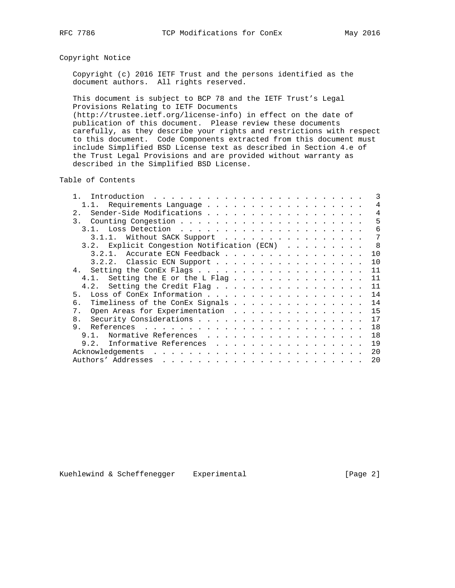# Copyright Notice

 Copyright (c) 2016 IETF Trust and the persons identified as the document authors. All rights reserved.

 This document is subject to BCP 78 and the IETF Trust's Legal Provisions Relating to IETF Documents (http://trustee.ietf.org/license-info) in effect on the date of

 publication of this document. Please review these documents carefully, as they describe your rights and restrictions with respect to this document. Code Components extracted from this document must include Simplified BSD License text as described in Section 4.e of the Trust Legal Provisions and are provided without warranty as described in the Simplified BSD License.

Table of Contents

| 2.<br>3.<br>3.1.1. Without SACK Support<br>8<br>Explicit Congestion Notification (ECN)<br>3.2.<br>Accurate ECN Feedback<br>10<br>3.2.1.<br>10<br>3.2.2. Classic ECN Support<br>11<br>11<br>Setting the E or the L Flag<br>4.1.<br>Setting the Credit Flag<br>11<br>4.2.<br>14<br>5.<br>14<br>Timeliness of the ConEx Signals<br>б.<br>15<br>Open Areas for Experimentation<br>7.<br>17<br>8 <sub>1</sub><br>18<br>9.<br>18<br>9 1<br>Normative References<br>19<br>Informative References<br>9.2.<br>20<br>20 |  | 3 |
|---------------------------------------------------------------------------------------------------------------------------------------------------------------------------------------------------------------------------------------------------------------------------------------------------------------------------------------------------------------------------------------------------------------------------------------------------------------------------------------------------------------|--|---|
|                                                                                                                                                                                                                                                                                                                                                                                                                                                                                                               |  | 4 |
|                                                                                                                                                                                                                                                                                                                                                                                                                                                                                                               |  | 4 |
|                                                                                                                                                                                                                                                                                                                                                                                                                                                                                                               |  | 5 |
|                                                                                                                                                                                                                                                                                                                                                                                                                                                                                                               |  | 6 |
|                                                                                                                                                                                                                                                                                                                                                                                                                                                                                                               |  | 7 |
|                                                                                                                                                                                                                                                                                                                                                                                                                                                                                                               |  |   |
|                                                                                                                                                                                                                                                                                                                                                                                                                                                                                                               |  |   |
|                                                                                                                                                                                                                                                                                                                                                                                                                                                                                                               |  |   |
|                                                                                                                                                                                                                                                                                                                                                                                                                                                                                                               |  |   |
|                                                                                                                                                                                                                                                                                                                                                                                                                                                                                                               |  |   |
|                                                                                                                                                                                                                                                                                                                                                                                                                                                                                                               |  |   |
|                                                                                                                                                                                                                                                                                                                                                                                                                                                                                                               |  |   |
|                                                                                                                                                                                                                                                                                                                                                                                                                                                                                                               |  |   |
|                                                                                                                                                                                                                                                                                                                                                                                                                                                                                                               |  |   |
|                                                                                                                                                                                                                                                                                                                                                                                                                                                                                                               |  |   |
|                                                                                                                                                                                                                                                                                                                                                                                                                                                                                                               |  |   |
|                                                                                                                                                                                                                                                                                                                                                                                                                                                                                                               |  |   |
|                                                                                                                                                                                                                                                                                                                                                                                                                                                                                                               |  |   |
|                                                                                                                                                                                                                                                                                                                                                                                                                                                                                                               |  |   |
|                                                                                                                                                                                                                                                                                                                                                                                                                                                                                                               |  |   |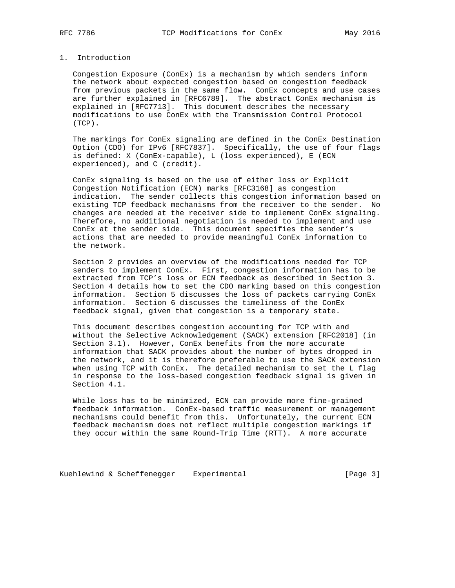# 1. Introduction

 Congestion Exposure (ConEx) is a mechanism by which senders inform the network about expected congestion based on congestion feedback from previous packets in the same flow. ConEx concepts and use cases are further explained in [RFC6789]. The abstract ConEx mechanism is explained in [RFC7713]. This document describes the necessary modifications to use ConEx with the Transmission Control Protocol (TCP).

 The markings for ConEx signaling are defined in the ConEx Destination Option (CDO) for IPv6 [RFC7837]. Specifically, the use of four flags is defined: X (ConEx-capable), L (loss experienced), E (ECN experienced), and C (credit).

 ConEx signaling is based on the use of either loss or Explicit Congestion Notification (ECN) marks [RFC3168] as congestion indication. The sender collects this congestion information based on existing TCP feedback mechanisms from the receiver to the sender. No changes are needed at the receiver side to implement ConEx signaling. Therefore, no additional negotiation is needed to implement and use ConEx at the sender side. This document specifies the sender's actions that are needed to provide meaningful ConEx information to the network.

 Section 2 provides an overview of the modifications needed for TCP senders to implement ConEx. First, congestion information has to be extracted from TCP's loss or ECN feedback as described in Section 3. Section 4 details how to set the CDO marking based on this congestion information. Section 5 discusses the loss of packets carrying ConEx information. Section 6 discusses the timeliness of the ConEx feedback signal, given that congestion is a temporary state.

 This document describes congestion accounting for TCP with and without the Selective Acknowledgement (SACK) extension [RFC2018] (in Section 3.1). However, ConEx benefits from the more accurate information that SACK provides about the number of bytes dropped in the network, and it is therefore preferable to use the SACK extension when using TCP with ConEx. The detailed mechanism to set the L flag in response to the loss-based congestion feedback signal is given in Section 4.1.

 While loss has to be minimized, ECN can provide more fine-grained feedback information. ConEx-based traffic measurement or management mechanisms could benefit from this. Unfortunately, the current ECN feedback mechanism does not reflect multiple congestion markings if they occur within the same Round-Trip Time (RTT). A more accurate

Kuehlewind & Scheffenegger Experimental **Experimental** [Page 3]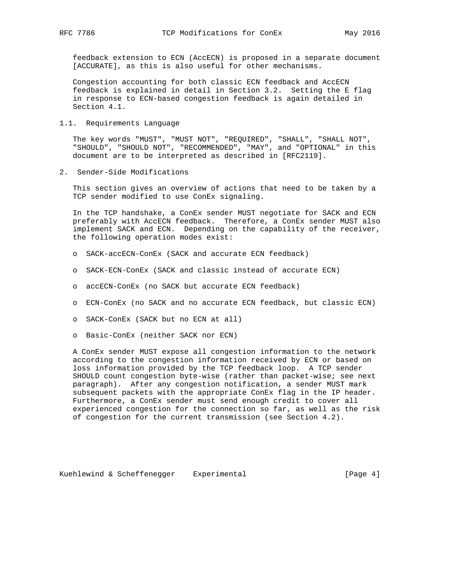feedback extension to ECN (AccECN) is proposed in a separate document [ACCURATE], as this is also useful for other mechanisms.

 Congestion accounting for both classic ECN feedback and AccECN feedback is explained in detail in Section 3.2. Setting the E flag in response to ECN-based congestion feedback is again detailed in Section 4.1.

1.1. Requirements Language

 The key words "MUST", "MUST NOT", "REQUIRED", "SHALL", "SHALL NOT", "SHOULD", "SHOULD NOT", "RECOMMENDED", "MAY", and "OPTIONAL" in this document are to be interpreted as described in [RFC2119].

2. Sender-Side Modifications

 This section gives an overview of actions that need to be taken by a TCP sender modified to use ConEx signaling.

 In the TCP handshake, a ConEx sender MUST negotiate for SACK and ECN preferably with AccECN feedback. Therefore, a ConEx sender MUST also implement SACK and ECN. Depending on the capability of the receiver, the following operation modes exist:

- o SACK-accECN-ConEx (SACK and accurate ECN feedback)
- o SACK-ECN-ConEx (SACK and classic instead of accurate ECN)
- o accECN-ConEx (no SACK but accurate ECN feedback)
- o ECN-ConEx (no SACK and no accurate ECN feedback, but classic ECN)
- o SACK-ConEx (SACK but no ECN at all)
- o Basic-ConEx (neither SACK nor ECN)

 A ConEx sender MUST expose all congestion information to the network according to the congestion information received by ECN or based on loss information provided by the TCP feedback loop. A TCP sender SHOULD count congestion byte-wise (rather than packet-wise; see next paragraph). After any congestion notification, a sender MUST mark subsequent packets with the appropriate ConEx flag in the IP header. Furthermore, a ConEx sender must send enough credit to cover all experienced congestion for the connection so far, as well as the risk of congestion for the current transmission (see Section 4.2).

Kuehlewind & Scheffenegger Experimental [Page 4]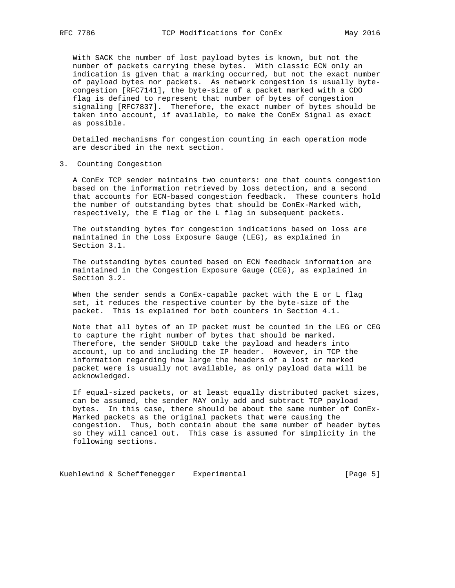With SACK the number of lost payload bytes is known, but not the number of packets carrying these bytes. With classic ECN only an indication is given that a marking occurred, but not the exact number of payload bytes nor packets. As network congestion is usually byte congestion [RFC7141], the byte-size of a packet marked with a CDO flag is defined to represent that number of bytes of congestion signaling [RFC7837]. Therefore, the exact number of bytes should be taken into account, if available, to make the ConEx Signal as exact as possible.

 Detailed mechanisms for congestion counting in each operation mode are described in the next section.

3. Counting Congestion

 A ConEx TCP sender maintains two counters: one that counts congestion based on the information retrieved by loss detection, and a second that accounts for ECN-based congestion feedback. These counters hold the number of outstanding bytes that should be ConEx-Marked with, respectively, the E flag or the L flag in subsequent packets.

 The outstanding bytes for congestion indications based on loss are maintained in the Loss Exposure Gauge (LEG), as explained in Section 3.1.

 The outstanding bytes counted based on ECN feedback information are maintained in the Congestion Exposure Gauge (CEG), as explained in Section 3.2.

When the sender sends a ConEx-capable packet with the E or L flag set, it reduces the respective counter by the byte-size of the packet. This is explained for both counters in Section 4.1.

 Note that all bytes of an IP packet must be counted in the LEG or CEG to capture the right number of bytes that should be marked. Therefore, the sender SHOULD take the payload and headers into account, up to and including the IP header. However, in TCP the information regarding how large the headers of a lost or marked packet were is usually not available, as only payload data will be acknowledged.

 If equal-sized packets, or at least equally distributed packet sizes, can be assumed, the sender MAY only add and subtract TCP payload bytes. In this case, there should be about the same number of ConEx- Marked packets as the original packets that were causing the congestion. Thus, both contain about the same number of header bytes so they will cancel out. This case is assumed for simplicity in the following sections.

Kuehlewind & Scheffenegger Experimental **Experimental** [Page 5]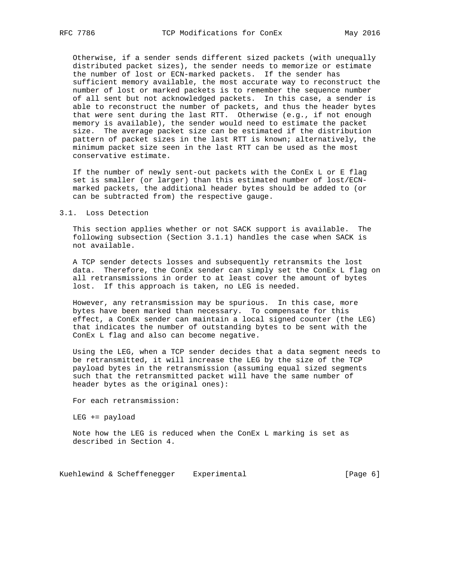Otherwise, if a sender sends different sized packets (with unequally distributed packet sizes), the sender needs to memorize or estimate the number of lost or ECN-marked packets. If the sender has sufficient memory available, the most accurate way to reconstruct the number of lost or marked packets is to remember the sequence number of all sent but not acknowledged packets. In this case, a sender is able to reconstruct the number of packets, and thus the header bytes that were sent during the last RTT. Otherwise (e.g., if not enough memory is available), the sender would need to estimate the packet size. The average packet size can be estimated if the distribution pattern of packet sizes in the last RTT is known; alternatively, the minimum packet size seen in the last RTT can be used as the most conservative estimate.

 If the number of newly sent-out packets with the ConEx L or E flag set is smaller (or larger) than this estimated number of lost/ECN marked packets, the additional header bytes should be added to (or can be subtracted from) the respective gauge.

#### 3.1. Loss Detection

 This section applies whether or not SACK support is available. The following subsection (Section 3.1.1) handles the case when SACK is not available.

 A TCP sender detects losses and subsequently retransmits the lost data. Therefore, the ConEx sender can simply set the ConEx L flag on all retransmissions in order to at least cover the amount of bytes lost. If this approach is taken, no LEG is needed.

 However, any retransmission may be spurious. In this case, more bytes have been marked than necessary. To compensate for this effect, a ConEx sender can maintain a local signed counter (the LEG) that indicates the number of outstanding bytes to be sent with the ConEx L flag and also can become negative.

 Using the LEG, when a TCP sender decides that a data segment needs to be retransmitted, it will increase the LEG by the size of the TCP payload bytes in the retransmission (assuming equal sized segments such that the retransmitted packet will have the same number of header bytes as the original ones):

For each retransmission:

LEG += payload

 Note how the LEG is reduced when the ConEx L marking is set as described in Section 4.

Kuehlewind & Scheffenegger Experimental [Page 6]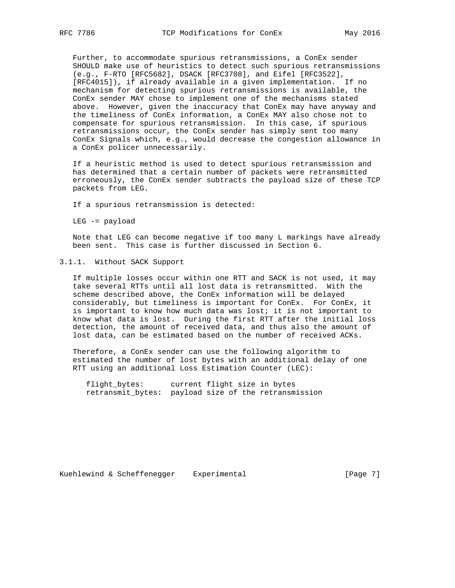Further, to accommodate spurious retransmissions, a ConEx sender SHOULD make use of heuristics to detect such spurious retransmissions (e.g., F-RTO [RFC5682], DSACK [RFC3708], and Eifel [RFC3522], [RFC4015]), if already available in a given implementation. If no mechanism for detecting spurious retransmissions is available, the ConEx sender MAY chose to implement one of the mechanisms stated above. However, given the inaccuracy that ConEx may have anyway and the timeliness of ConEx information, a ConEx MAY also chose not to compensate for spurious retransmission. In this case, if spurious retransmissions occur, the ConEx sender has simply sent too many ConEx Signals which, e.g., would decrease the congestion allowance in a ConEx policer unnecessarily.

 If a heuristic method is used to detect spurious retransmission and has determined that a certain number of packets were retransmitted erroneously, the ConEx sender subtracts the payload size of these TCP packets from LEG.

If a spurious retransmission is detected:

LEG -= payload

 Note that LEG can become negative if too many L markings have already been sent. This case is further discussed in Section 6.

### 3.1.1. Without SACK Support

 If multiple losses occur within one RTT and SACK is not used, it may take several RTTs until all lost data is retransmitted. With the scheme described above, the ConEx information will be delayed considerably, but timeliness is important for ConEx. For ConEx, it is important to know how much data was lost; it is not important to know what data is lost. During the first RTT after the initial loss detection, the amount of received data, and thus also the amount of lost data, can be estimated based on the number of received ACKs.

 Therefore, a ConEx sender can use the following algorithm to estimated the number of lost bytes with an additional delay of one RTT using an additional Loss Estimation Counter (LEC):

 flight\_bytes: current flight size in bytes retransmit\_bytes: payload size of the retransmission

Kuehlewind & Scheffenegger Experimental [Page 7]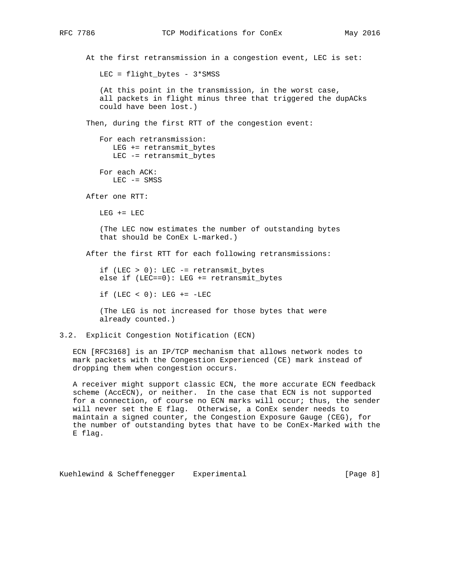At the first retransmission in a congestion event, LEC is set: LEC = flight\_bytes - 3\*SMSS (At this point in the transmission, in the worst case, all packets in flight minus three that triggered the dupACks could have been lost.) Then, during the first RTT of the congestion event: For each retransmission: LEG += retransmit\_bytes LEC -= retransmit\_bytes For each ACK: LEC -= SMSS After one RTT:  $LEG += LEC$  (The LEC now estimates the number of outstanding bytes that should be ConEx L-marked.) After the first RTT for each following retransmissions: if (LEC > 0): LEC -= retransmit\_bytes else if (LEC==0): LEG += retransmit\_bytes if (LEC < 0): LEG  $+=$  -LEC (The LEG is not increased for those bytes that were already counted.) 3.2. Explicit Congestion Notification (ECN)

 ECN [RFC3168] is an IP/TCP mechanism that allows network nodes to mark packets with the Congestion Experienced (CE) mark instead of dropping them when congestion occurs.

 A receiver might support classic ECN, the more accurate ECN feedback scheme (AccECN), or neither. In the case that ECN is not supported for a connection, of course no ECN marks will occur; thus, the sender will never set the E flag. Otherwise, a ConEx sender needs to maintain a signed counter, the Congestion Exposure Gauge (CEG), for the number of outstanding bytes that have to be ConEx-Marked with the E flag.

Kuehlewind & Scheffenegger Experimental [Page 8]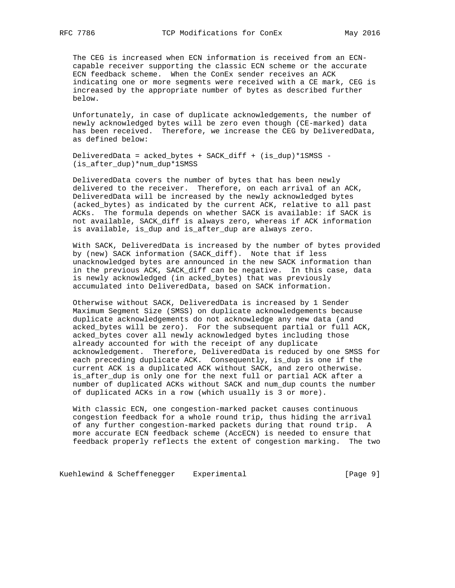The CEG is increased when ECN information is received from an ECN capable receiver supporting the classic ECN scheme or the accurate ECN feedback scheme. When the ConEx sender receives an ACK indicating one or more segments were received with a CE mark, CEG is increased by the appropriate number of bytes as described further below.

 Unfortunately, in case of duplicate acknowledgements, the number of newly acknowledged bytes will be zero even though (CE-marked) data has been received. Therefore, we increase the CEG by DeliveredData, as defined below:

 DeliveredData = acked\_bytes + SACK\_diff + (is\_dup)\*1SMSS - (is\_after\_dup)\*num\_dup\*1SMSS

 DeliveredData covers the number of bytes that has been newly delivered to the receiver. Therefore, on each arrival of an ACK, DeliveredData will be increased by the newly acknowledged bytes (acked\_bytes) as indicated by the current ACK, relative to all past ACKs. The formula depends on whether SACK is available: if SACK is not available, SACK\_diff is always zero, whereas if ACK information is available, is\_dup and is\_after\_dup are always zero.

 With SACK, DeliveredData is increased by the number of bytes provided by (new) SACK information (SACK\_diff). Note that if less unacknowledged bytes are announced in the new SACK information than in the previous ACK, SACK\_diff can be negative. In this case, data is newly acknowledged (in acked\_bytes) that was previously accumulated into DeliveredData, based on SACK information.

 Otherwise without SACK, DeliveredData is increased by 1 Sender Maximum Segment Size (SMSS) on duplicate acknowledgements because duplicate acknowledgements do not acknowledge any new data (and acked bytes will be zero). For the subsequent partial or full ACK, acked\_bytes cover all newly acknowledged bytes including those already accounted for with the receipt of any duplicate acknowledgement. Therefore, DeliveredData is reduced by one SMSS for each preceding duplicate ACK. Consequently, is\_dup is one if the current ACK is a duplicated ACK without SACK, and zero otherwise. is\_after\_dup is only one for the next full or partial ACK after a number of duplicated ACKs without SACK and num\_dup counts the number of duplicated ACKs in a row (which usually is 3 or more).

 With classic ECN, one congestion-marked packet causes continuous congestion feedback for a whole round trip, thus hiding the arrival of any further congestion-marked packets during that round trip. A more accurate ECN feedback scheme (AccECN) is needed to ensure that feedback properly reflects the extent of congestion marking. The two

Kuehlewind & Scheffenegger Experimental Contrast (Page 9]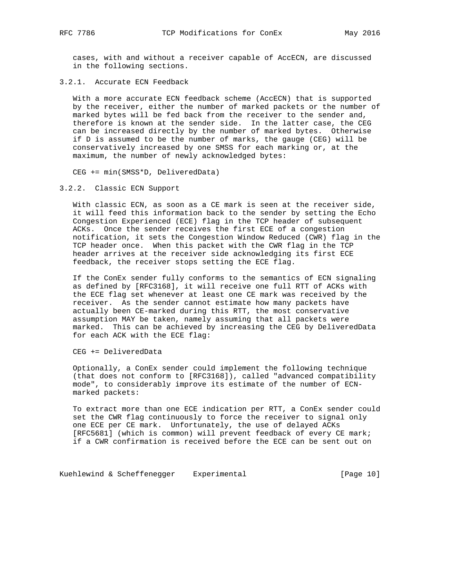cases, with and without a receiver capable of AccECN, are discussed in the following sections.

3.2.1. Accurate ECN Feedback

 With a more accurate ECN feedback scheme (AccECN) that is supported by the receiver, either the number of marked packets or the number of marked bytes will be fed back from the receiver to the sender and, therefore is known at the sender side. In the latter case, the CEG can be increased directly by the number of marked bytes. Otherwise if D is assumed to be the number of marks, the gauge (CEG) will be conservatively increased by one SMSS for each marking or, at the maximum, the number of newly acknowledged bytes:

CEG += min(SMSS\*D, DeliveredData)

3.2.2. Classic ECN Support

 With classic ECN, as soon as a CE mark is seen at the receiver side, it will feed this information back to the sender by setting the Echo Congestion Experienced (ECE) flag in the TCP header of subsequent ACKs. Once the sender receives the first ECE of a congestion notification, it sets the Congestion Window Reduced (CWR) flag in the TCP header once. When this packet with the CWR flag in the TCP header arrives at the receiver side acknowledging its first ECE feedback, the receiver stops setting the ECE flag.

 If the ConEx sender fully conforms to the semantics of ECN signaling as defined by [RFC3168], it will receive one full RTT of ACKs with the ECE flag set whenever at least one CE mark was received by the receiver. As the sender cannot estimate how many packets have actually been CE-marked during this RTT, the most conservative assumption MAY be taken, namely assuming that all packets were marked. This can be achieved by increasing the CEG by DeliveredData for each ACK with the ECE flag:

CEG += DeliveredData

 Optionally, a ConEx sender could implement the following technique (that does not conform to [RFC3168]), called "advanced compatibility mode", to considerably improve its estimate of the number of ECN marked packets:

 To extract more than one ECE indication per RTT, a ConEx sender could set the CWR flag continuously to force the receiver to signal only one ECE per CE mark. Unfortunately, the use of delayed ACKs [RFC5681] (which is common) will prevent feedback of every CE mark; if a CWR confirmation is received before the ECE can be sent out on

Kuehlewind & Scheffenegger Experimental [Page 10]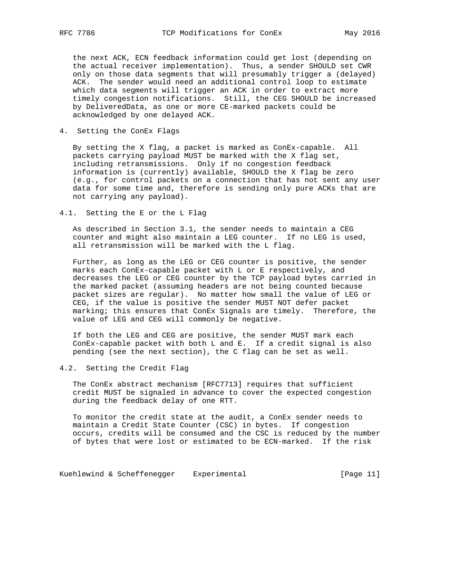the next ACK, ECN feedback information could get lost (depending on the actual receiver implementation). Thus, a sender SHOULD set CWR only on those data segments that will presumably trigger a (delayed) ACK. The sender would need an additional control loop to estimate which data segments will trigger an ACK in order to extract more timely congestion notifications. Still, the CEG SHOULD be increased by DeliveredData, as one or more CE-marked packets could be acknowledged by one delayed ACK.

4. Setting the ConEx Flags

 By setting the X flag, a packet is marked as ConEx-capable. All packets carrying payload MUST be marked with the X flag set, including retransmissions. Only if no congestion feedback information is (currently) available, SHOULD the X flag be zero (e.g., for control packets on a connection that has not sent any user data for some time and, therefore is sending only pure ACKs that are not carrying any payload).

4.1. Setting the E or the L Flag

 As described in Section 3.1, the sender needs to maintain a CEG counter and might also maintain a LEG counter. If no LEG is used, all retransmission will be marked with the L flag.

 Further, as long as the LEG or CEG counter is positive, the sender marks each ConEx-capable packet with L or E respectively, and decreases the LEG or CEG counter by the TCP payload bytes carried in the marked packet (assuming headers are not being counted because packet sizes are regular). No matter how small the value of LEG or CEG, if the value is positive the sender MUST NOT defer packet marking; this ensures that ConEx Signals are timely. Therefore, the value of LEG and CEG will commonly be negative.

 If both the LEG and CEG are positive, the sender MUST mark each ConEx-capable packet with both L and E. If a credit signal is also pending (see the next section), the C flag can be set as well.

4.2. Setting the Credit Flag

 The ConEx abstract mechanism [RFC7713] requires that sufficient credit MUST be signaled in advance to cover the expected congestion during the feedback delay of one RTT.

 To monitor the credit state at the audit, a ConEx sender needs to maintain a Credit State Counter (CSC) in bytes. If congestion occurs, credits will be consumed and the CSC is reduced by the number of bytes that were lost or estimated to be ECN-marked. If the risk

Kuehlewind & Scheffenegger Experimental [Page 11]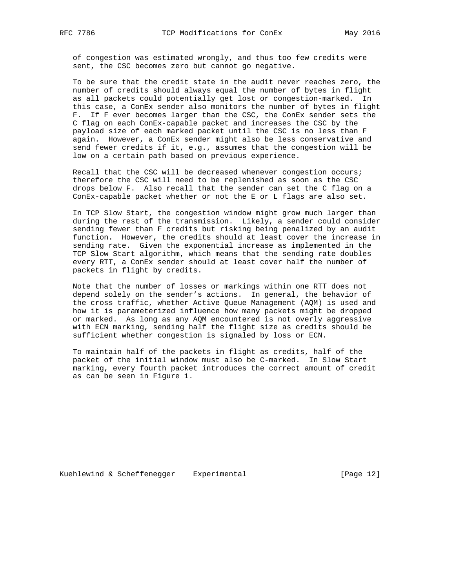of congestion was estimated wrongly, and thus too few credits were sent, the CSC becomes zero but cannot go negative.

 To be sure that the credit state in the audit never reaches zero, the number of credits should always equal the number of bytes in flight as all packets could potentially get lost or congestion-marked. In this case, a ConEx sender also monitors the number of bytes in flight F. If F ever becomes larger than the CSC, the ConEx sender sets the C flag on each ConEx-capable packet and increases the CSC by the payload size of each marked packet until the CSC is no less than F again. However, a ConEx sender might also be less conservative and send fewer credits if it, e.g., assumes that the congestion will be low on a certain path based on previous experience.

 Recall that the CSC will be decreased whenever congestion occurs; therefore the CSC will need to be replenished as soon as the CSC drops below F. Also recall that the sender can set the C flag on a ConEx-capable packet whether or not the E or L flags are also set.

 In TCP Slow Start, the congestion window might grow much larger than during the rest of the transmission. Likely, a sender could consider sending fewer than F credits but risking being penalized by an audit function. However, the credits should at least cover the increase in sending rate. Given the exponential increase as implemented in the TCP Slow Start algorithm, which means that the sending rate doubles every RTT, a ConEx sender should at least cover half the number of packets in flight by credits.

 Note that the number of losses or markings within one RTT does not depend solely on the sender's actions. In general, the behavior of the cross traffic, whether Active Queue Management (AQM) is used and how it is parameterized influence how many packets might be dropped or marked. As long as any AQM encountered is not overly aggressive with ECN marking, sending half the flight size as credits should be sufficient whether congestion is signaled by loss or ECN.

 To maintain half of the packets in flight as credits, half of the packet of the initial window must also be C-marked. In Slow Start marking, every fourth packet introduces the correct amount of credit as can be seen in Figure 1.

Kuehlewind & Scheffenegger Experimental [Page 12]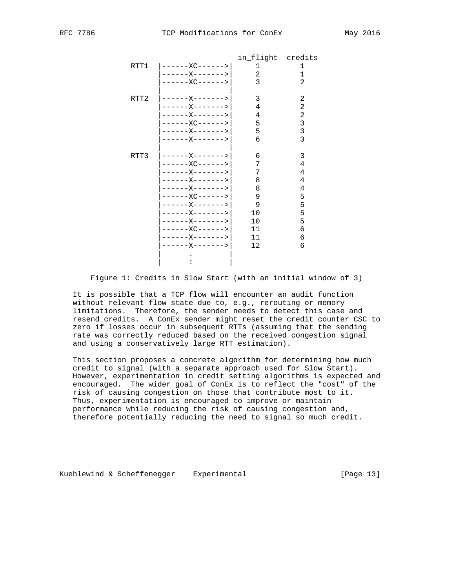|      |                       | in flight credits |   |
|------|-----------------------|-------------------|---|
|      | $RTT1$ $ -----XC----$ |                   |   |
|      | ------X------->       | 2                 | ı |
|      | ------XC------>       | 3                 | 2 |
|      |                       |                   |   |
| RTT2 |                       | 3                 | 2 |
|      | $---X------2$         | 4                 | 2 |
|      | ------X------->       | 4                 | 2 |
|      | ------XC------>       | 5                 | 3 |
|      | ------X------->       | 5                 | 3 |
|      | ------X------->       | б                 | 3 |
|      |                       |                   |   |
| RTT3 |                       | 6                 | 3 |
|      | $---XC-----$          | 7                 | 4 |
|      | ------X------->       | 7                 | 4 |
|      | ------X------->       | 8                 | 4 |
|      | ------X------->       | 8                 | 4 |
|      | ------XC------>       | 9                 | 5 |
|      | ------X------->       | 9                 | 5 |
|      | ------X------->       | 10                | 5 |
|      | ------X------->       | 10                | 5 |
|      | $---XC----->$         | 11                | 6 |
|      | ------X------->       | 11                | 6 |
|      | -------------->       | 12                | 6 |
|      |                       |                   |   |
|      |                       |                   |   |

Figure 1: Credits in Slow Start (with an initial window of 3)

 It is possible that a TCP flow will encounter an audit function without relevant flow state due to, e.g., rerouting or memory limitations. Therefore, the sender needs to detect this case and resend credits. A ConEx sender might reset the credit counter CSC to zero if losses occur in subsequent RTTs (assuming that the sending rate was correctly reduced based on the received congestion signal and using a conservatively large RTT estimation).

 This section proposes a concrete algorithm for determining how much credit to signal (with a separate approach used for Slow Start). However, experimentation in credit setting algorithms is expected and encouraged. The wider goal of ConEx is to reflect the "cost" of the risk of causing congestion on those that contribute most to it. Thus, experimentation is encouraged to improve or maintain performance while reducing the risk of causing congestion and, therefore potentially reducing the need to signal so much credit.

Kuehlewind & Scheffenegger Experimental [Page 13]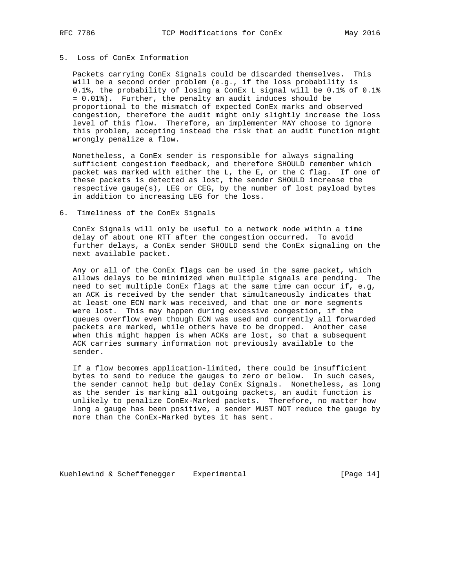# 5. Loss of ConEx Information

 Packets carrying ConEx Signals could be discarded themselves. This will be a second order problem (e.g., if the loss probability is 0.1%, the probability of losing a ConEx L signal will be 0.1% of 0.1% = 0.01%). Further, the penalty an audit induces should be proportional to the mismatch of expected ConEx marks and observed congestion, therefore the audit might only slightly increase the loss level of this flow. Therefore, an implementer MAY choose to ignore this problem, accepting instead the risk that an audit function might wrongly penalize a flow.

 Nonetheless, a ConEx sender is responsible for always signaling sufficient congestion feedback, and therefore SHOULD remember which packet was marked with either the L, the E, or the C flag. If one of these packets is detected as lost, the sender SHOULD increase the respective gauge(s), LEG or CEG, by the number of lost payload bytes in addition to increasing LEG for the loss.

#### 6. Timeliness of the ConEx Signals

 ConEx Signals will only be useful to a network node within a time delay of about one RTT after the congestion occurred. To avoid further delays, a ConEx sender SHOULD send the ConEx signaling on the next available packet.

 Any or all of the ConEx flags can be used in the same packet, which allows delays to be minimized when multiple signals are pending. The need to set multiple ConEx flags at the same time can occur if, e.g, an ACK is received by the sender that simultaneously indicates that at least one ECN mark was received, and that one or more segments were lost. This may happen during excessive congestion, if the queues overflow even though ECN was used and currently all forwarded packets are marked, while others have to be dropped. Another case when this might happen is when ACKs are lost, so that a subsequent ACK carries summary information not previously available to the sender.

 If a flow becomes application-limited, there could be insufficient bytes to send to reduce the gauges to zero or below. In such cases, the sender cannot help but delay ConEx Signals. Nonetheless, as long as the sender is marking all outgoing packets, an audit function is unlikely to penalize ConEx-Marked packets. Therefore, no matter how long a gauge has been positive, a sender MUST NOT reduce the gauge by more than the ConEx-Marked bytes it has sent.

Kuehlewind & Scheffenegger Experimental [Page 14]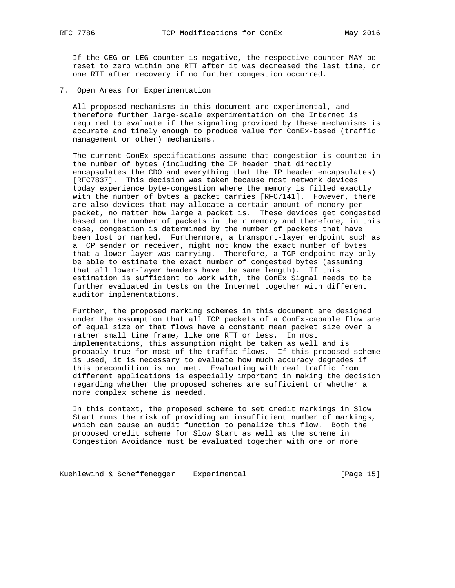If the CEG or LEG counter is negative, the respective counter MAY be reset to zero within one RTT after it was decreased the last time, or one RTT after recovery if no further congestion occurred.

7. Open Areas for Experimentation

 All proposed mechanisms in this document are experimental, and therefore further large-scale experimentation on the Internet is required to evaluate if the signaling provided by these mechanisms is accurate and timely enough to produce value for ConEx-based (traffic management or other) mechanisms.

 The current ConEx specifications assume that congestion is counted in the number of bytes (including the IP header that directly encapsulates the CDO and everything that the IP header encapsulates) [RFC7837]. This decision was taken because most network devices today experience byte-congestion where the memory is filled exactly with the number of bytes a packet carries [RFC7141]. However, there are also devices that may allocate a certain amount of memory per packet, no matter how large a packet is. These devices get congested based on the number of packets in their memory and therefore, in this case, congestion is determined by the number of packets that have been lost or marked. Furthermore, a transport-layer endpoint such as a TCP sender or receiver, might not know the exact number of bytes that a lower layer was carrying. Therefore, a TCP endpoint may only be able to estimate the exact number of congested bytes (assuming that all lower-layer headers have the same length). If this estimation is sufficient to work with, the ConEx Signal needs to be further evaluated in tests on the Internet together with different auditor implementations.

 Further, the proposed marking schemes in this document are designed under the assumption that all TCP packets of a ConEx-capable flow are of equal size or that flows have a constant mean packet size over a rather small time frame, like one RTT or less. In most implementations, this assumption might be taken as well and is probably true for most of the traffic flows. If this proposed scheme is used, it is necessary to evaluate how much accuracy degrades if this precondition is not met. Evaluating with real traffic from different applications is especially important in making the decision regarding whether the proposed schemes are sufficient or whether a more complex scheme is needed.

 In this context, the proposed scheme to set credit markings in Slow Start runs the risk of providing an insufficient number of markings, which can cause an audit function to penalize this flow. Both the proposed credit scheme for Slow Start as well as the scheme in Congestion Avoidance must be evaluated together with one or more

Kuehlewind & Scheffenegger Experimental [Page 15]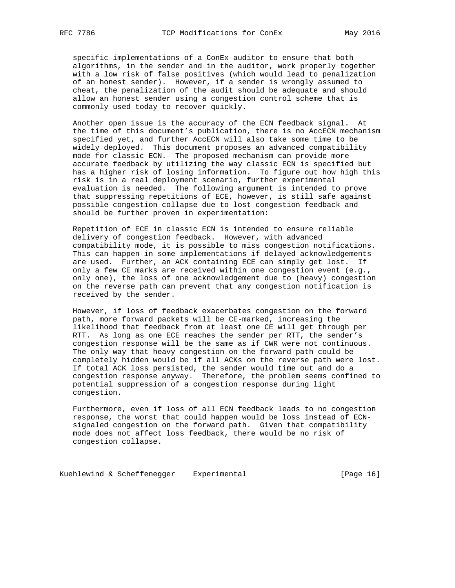specific implementations of a ConEx auditor to ensure that both algorithms, in the sender and in the auditor, work properly together with a low risk of false positives (which would lead to penalization of an honest sender). However, if a sender is wrongly assumed to cheat, the penalization of the audit should be adequate and should allow an honest sender using a congestion control scheme that is commonly used today to recover quickly.

 Another open issue is the accuracy of the ECN feedback signal. At the time of this document's publication, there is no AccECN mechanism specified yet, and further AccECN will also take some time to be widely deployed. This document proposes an advanced compatibility mode for classic ECN. The proposed mechanism can provide more accurate feedback by utilizing the way classic ECN is specified but has a higher risk of losing information. To figure out how high this risk is in a real deployment scenario, further experimental evaluation is needed. The following argument is intended to prove that suppressing repetitions of ECE, however, is still safe against possible congestion collapse due to lost congestion feedback and should be further proven in experimentation:

 Repetition of ECE in classic ECN is intended to ensure reliable delivery of congestion feedback. However, with advanced compatibility mode, it is possible to miss congestion notifications. This can happen in some implementations if delayed acknowledgements are used. Further, an ACK containing ECE can simply get lost. If only a few CE marks are received within one congestion event (e.g., only one), the loss of one acknowledgement due to (heavy) congestion on the reverse path can prevent that any congestion notification is received by the sender.

 However, if loss of feedback exacerbates congestion on the forward path, more forward packets will be CE-marked, increasing the likelihood that feedback from at least one CE will get through per RTT. As long as one ECE reaches the sender per RTT, the sender's congestion response will be the same as if CWR were not continuous. The only way that heavy congestion on the forward path could be completely hidden would be if all ACKs on the reverse path were lost. If total ACK loss persisted, the sender would time out and do a congestion response anyway. Therefore, the problem seems confined to potential suppression of a congestion response during light congestion.

 Furthermore, even if loss of all ECN feedback leads to no congestion response, the worst that could happen would be loss instead of ECN signaled congestion on the forward path. Given that compatibility mode does not affect loss feedback, there would be no risk of congestion collapse.

Kuehlewind & Scheffenegger Experimental [Page 16]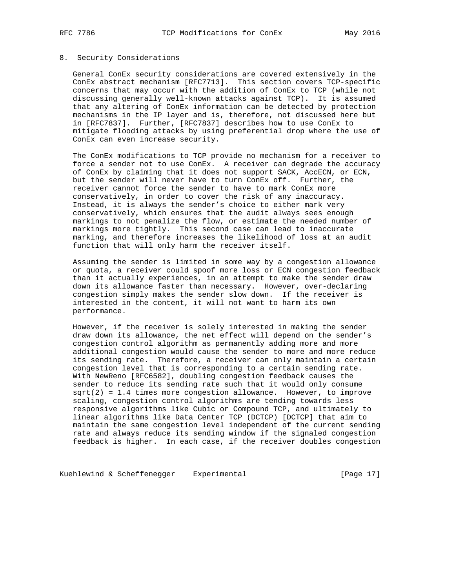#### 8. Security Considerations

 General ConEx security considerations are covered extensively in the ConEx abstract mechanism [RFC7713]. This section covers TCP-specific concerns that may occur with the addition of ConEx to TCP (while not discussing generally well-known attacks against TCP). It is assumed that any altering of ConEx information can be detected by protection mechanisms in the IP layer and is, therefore, not discussed here but in [RFC7837]. Further, [RFC7837] describes how to use ConEx to mitigate flooding attacks by using preferential drop where the use of ConEx can even increase security.

 The ConEx modifications to TCP provide no mechanism for a receiver to force a sender not to use ConEx. A receiver can degrade the accuracy of ConEx by claiming that it does not support SACK, AccECN, or ECN, but the sender will never have to turn ConEx off. Further, the receiver cannot force the sender to have to mark ConEx more conservatively, in order to cover the risk of any inaccuracy. Instead, it is always the sender's choice to either mark very conservatively, which ensures that the audit always sees enough markings to not penalize the flow, or estimate the needed number of markings more tightly. This second case can lead to inaccurate marking, and therefore increases the likelihood of loss at an audit function that will only harm the receiver itself.

 Assuming the sender is limited in some way by a congestion allowance or quota, a receiver could spoof more loss or ECN congestion feedback than it actually experiences, in an attempt to make the sender draw down its allowance faster than necessary. However, over-declaring congestion simply makes the sender slow down. If the receiver is interested in the content, it will not want to harm its own performance.

 However, if the receiver is solely interested in making the sender draw down its allowance, the net effect will depend on the sender's congestion control algorithm as permanently adding more and more additional congestion would cause the sender to more and more reduce its sending rate. Therefore, a receiver can only maintain a certain congestion level that is corresponding to a certain sending rate. With NewReno [RFC6582], doubling congestion feedback causes the sender to reduce its sending rate such that it would only consume  $sqrt{2}$  = 1.4 times more congestion allowance. However, to improve scaling, congestion control algorithms are tending towards less responsive algorithms like Cubic or Compound TCP, and ultimately to linear algorithms like Data Center TCP (DCTCP) [DCTCP] that aim to maintain the same congestion level independent of the current sending rate and always reduce its sending window if the signaled congestion feedback is higher. In each case, if the receiver doubles congestion

Kuehlewind & Scheffenegger Experimental [Page 17]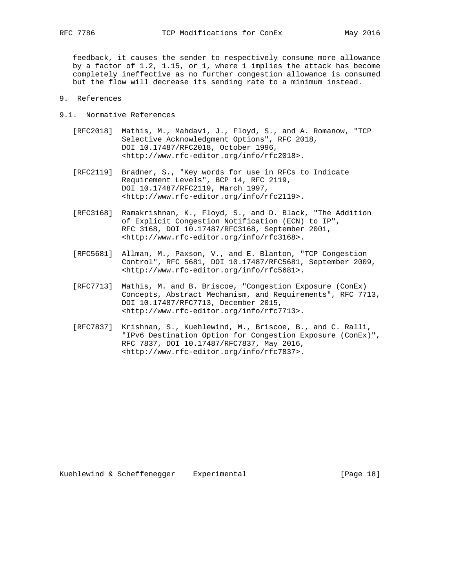feedback, it causes the sender to respectively consume more allowance by a factor of 1.2, 1.15, or 1, where 1 implies the attack has become completely ineffective as no further congestion allowance is consumed but the flow will decrease its sending rate to a minimum instead.

- 9. References
- 9.1. Normative References
	- [RFC2018] Mathis, M., Mahdavi, J., Floyd, S., and A. Romanow, "TCP Selective Acknowledgment Options", RFC 2018, DOI 10.17487/RFC2018, October 1996, <http://www.rfc-editor.org/info/rfc2018>.
	- [RFC2119] Bradner, S., "Key words for use in RFCs to Indicate Requirement Levels", BCP 14, RFC 2119, DOI 10.17487/RFC2119, March 1997, <http://www.rfc-editor.org/info/rfc2119>.
	- [RFC3168] Ramakrishnan, K., Floyd, S., and D. Black, "The Addition of Explicit Congestion Notification (ECN) to IP", RFC 3168, DOI 10.17487/RFC3168, September 2001, <http://www.rfc-editor.org/info/rfc3168>.
	- [RFC5681] Allman, M., Paxson, V., and E. Blanton, "TCP Congestion Control", RFC 5681, DOI 10.17487/RFC5681, September 2009, <http://www.rfc-editor.org/info/rfc5681>.
	- [RFC7713] Mathis, M. and B. Briscoe, "Congestion Exposure (ConEx) Concepts, Abstract Mechanism, and Requirements", RFC 7713, DOI 10.17487/RFC7713, December 2015, <http://www.rfc-editor.org/info/rfc7713>.
	- [RFC7837] Krishnan, S., Kuehlewind, M., Briscoe, B., and C. Ralli, "IPv6 Destination Option for Congestion Exposure (ConEx)", RFC 7837, DOI 10.17487/RFC7837, May 2016, <http://www.rfc-editor.org/info/rfc7837>.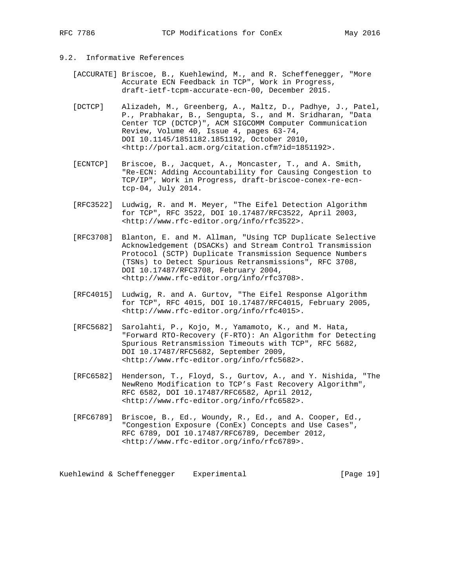# 9.2. Informative References

- [ACCURATE] Briscoe, B., Kuehlewind, M., and R. Scheffenegger, "More Accurate ECN Feedback in TCP", Work in Progress, draft-ietf-tcpm-accurate-ecn-00, December 2015.
- [DCTCP] Alizadeh, M., Greenberg, A., Maltz, D., Padhye, J., Patel, P., Prabhakar, B., Sengupta, S., and M. Sridharan, "Data Center TCP (DCTCP)", ACM SIGCOMM Computer Communication Review, Volume 40, Issue 4, pages 63-74, DOI 10.1145/1851182.1851192, October 2010, <http://portal.acm.org/citation.cfm?id=1851192>.
- [ECNTCP] Briscoe, B., Jacquet, A., Moncaster, T., and A. Smith, "Re-ECN: Adding Accountability for Causing Congestion to TCP/IP", Work in Progress, draft-briscoe-conex-re-ecn tcp-04, July 2014.
- [RFC3522] Ludwig, R. and M. Meyer, "The Eifel Detection Algorithm for TCP", RFC 3522, DOI 10.17487/RFC3522, April 2003, <http://www.rfc-editor.org/info/rfc3522>.
- [RFC3708] Blanton, E. and M. Allman, "Using TCP Duplicate Selective Acknowledgement (DSACKs) and Stream Control Transmission Protocol (SCTP) Duplicate Transmission Sequence Numbers (TSNs) to Detect Spurious Retransmissions", RFC 3708, DOI 10.17487/RFC3708, February 2004, <http://www.rfc-editor.org/info/rfc3708>.
- [RFC4015] Ludwig, R. and A. Gurtov, "The Eifel Response Algorithm for TCP", RFC 4015, DOI 10.17487/RFC4015, February 2005, <http://www.rfc-editor.org/info/rfc4015>.
- [RFC5682] Sarolahti, P., Kojo, M., Yamamoto, K., and M. Hata, "Forward RTO-Recovery (F-RTO): An Algorithm for Detecting Spurious Retransmission Timeouts with TCP", RFC 5682, DOI 10.17487/RFC5682, September 2009, <http://www.rfc-editor.org/info/rfc5682>.
- [RFC6582] Henderson, T., Floyd, S., Gurtov, A., and Y. Nishida, "The NewReno Modification to TCP's Fast Recovery Algorithm", RFC 6582, DOI 10.17487/RFC6582, April 2012, <http://www.rfc-editor.org/info/rfc6582>.
- [RFC6789] Briscoe, B., Ed., Woundy, R., Ed., and A. Cooper, Ed., "Congestion Exposure (ConEx) Concepts and Use Cases", RFC 6789, DOI 10.17487/RFC6789, December 2012, <http://www.rfc-editor.org/info/rfc6789>.

Kuehlewind & Scheffenegger Experimental Controller (Page 19)